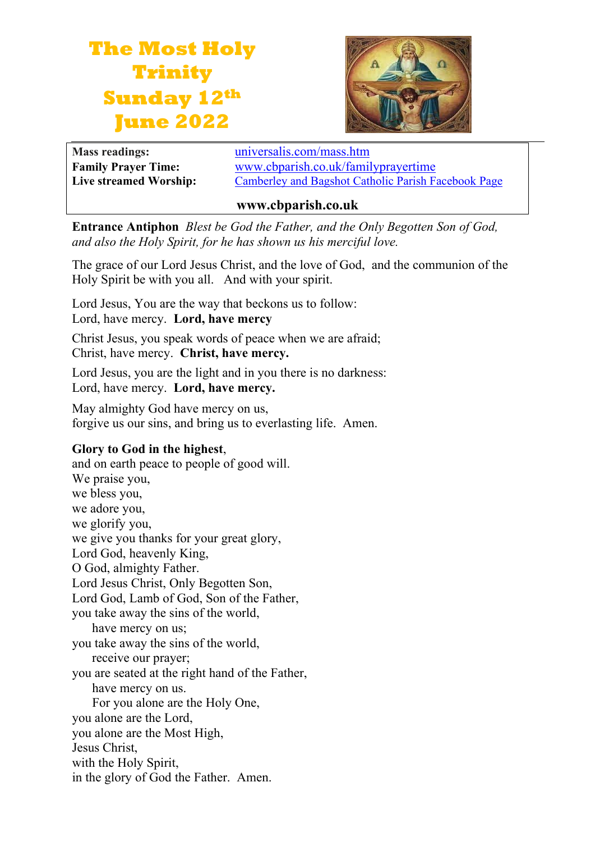# **The Most Holy Trinity Sunday 12th June 2022**



**Mass readings:** [universalis.com/mass.htm](https://universalis.com/mass.htm)

**Family Prayer Time:** www.cbparish.co.uk/familyprayertime **Live streamed Worship:** [Camberley and Bagshot Catholic Parish Facebook Page](https://www.facebook.com/Camberley-Bagshot-Catholic-Parish-102099478101801/)

#### **www.cbparish.co.uk**

**Entrance Antiphon** *Blest be God the Father, and the Only Begotten Son of God, and also the Holy Spirit, for he has shown us his merciful love.*

The grace of our Lord Jesus Christ, and the love of God, and the communion of the Holy Spirit be with you all. And with your spirit.

Lord Jesus, You are the way that beckons us to follow:

Lord, have mercy. **Lord, have mercy**

Christ Jesus, you speak words of peace when we are afraid; Christ, have mercy. **Christ, have mercy.**

Lord Jesus, you are the light and in you there is no darkness: Lord, have mercy. **Lord, have mercy.**

May almighty God have mercy on us, forgive us our sins, and bring us to everlasting life. Amen.

## **Glory to God in the highest**,

and on earth peace to people of good will. We praise you, we bless you, we adore you, we glorify you, we give you thanks for your great glory, Lord God, heavenly King, O God, almighty Father. Lord Jesus Christ, Only Begotten Son, Lord God, Lamb of God, Son of the Father, you take away the sins of the world, have mercy on us; you take away the sins of the world, receive our prayer; you are seated at the right hand of the Father, have mercy on us. For you alone are the Holy One, you alone are the Lord, you alone are the Most High, Jesus Christ, with the Holy Spirit, in the glory of God the Father. Amen.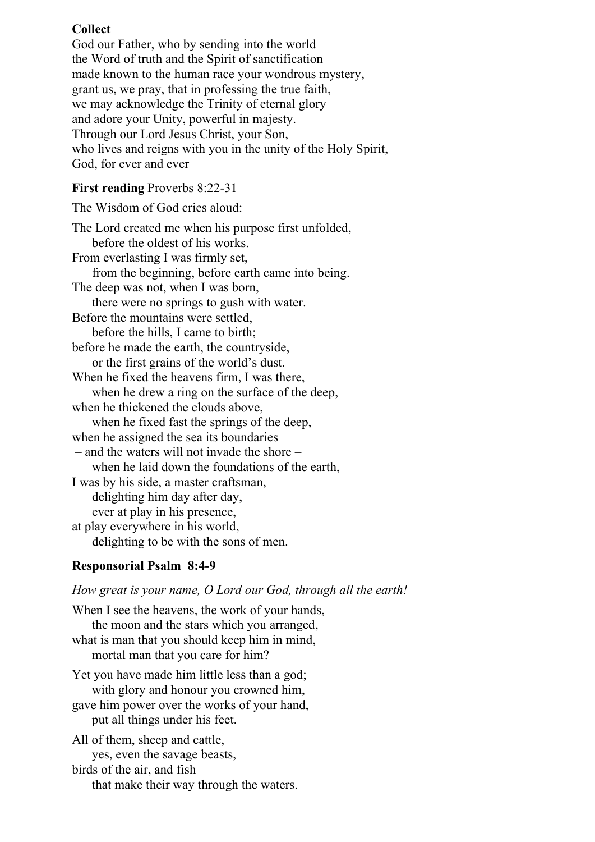## **Collect**

God our Father, who by sending into the world the Word of truth and the Spirit of sanctification made known to the human race your wondrous mystery, grant us, we pray, that in professing the true faith, we may acknowledge the Trinity of eternal glory and adore your Unity, powerful in majesty. Through our Lord Jesus Christ, your Son, who lives and reigns with you in the unity of the Holy Spirit, God, for ever and ever

## **First reading** Proverbs 8:22-31

The Wisdom of God cries aloud: The Lord created me when his purpose first unfolded, before the oldest of his works. From everlasting I was firmly set, from the beginning, before earth came into being. The deep was not, when I was born, there were no springs to gush with water. Before the mountains were settled, before the hills, I came to birth; before he made the earth, the countryside, or the first grains of the world's dust. When he fixed the heavens firm, I was there, when he drew a ring on the surface of the deep, when he thickened the clouds above, when he fixed fast the springs of the deep, when he assigned the sea its boundaries – and the waters will not invade the shore – when he laid down the foundations of the earth, I was by his side, a master craftsman, delighting him day after day, ever at play in his presence, at play everywhere in his world, delighting to be with the sons of men.

## **Responsorial Psalm 8:4-9**

*How great is your name, O Lord our God, through all the earth!*

When I see the heavens, the work of your hands, the moon and the stars which you arranged, what is man that you should keep him in mind, mortal man that you care for him? Yet you have made him little less than a god; with glory and honour you crowned him,

gave him power over the works of your hand, put all things under his feet.

All of them, sheep and cattle, yes, even the savage beasts, birds of the air, and fish that make their way through the waters.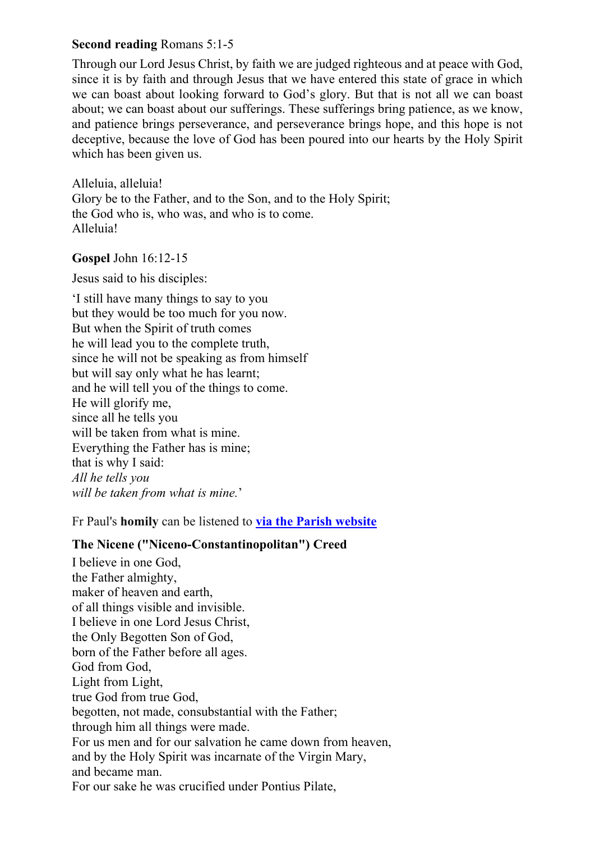## **Second reading** Romans 5:1-5

Through our Lord Jesus Christ, by faith we are judged righteous and at peace with God, since it is by faith and through Jesus that we have entered this state of grace in which we can boast about looking forward to God's glory. But that is not all we can boast about; we can boast about our sufferings. These sufferings bring patience, as we know, and patience brings perseverance, and perseverance brings hope, and this hope is not deceptive, because the love of God has been poured into our hearts by the Holy Spirit which has been given us.

Alleluia, alleluia! Glory be to the Father, and to the Son, and to the Holy Spirit; the God who is, who was, and who is to come. Alleluia!

#### **Gospel** John 16:12-15

Jesus said to his disciples:

'I still have many things to say to you but they would be too much for you now. But when the Spirit of truth comes he will lead you to the complete truth, since he will not be speaking as from himself but will say only what he has learnt; and he will tell you of the things to come. He will glorify me, since all he tells you will be taken from what is mine. Everything the Father has is mine; that is why I said: *All he tells you will be taken from what is mine.*'

Fr Paul's **homily** can be listened to **via the Parish [website](https://www.cbparish.co.uk/homilies)**

## **The Nicene ("Niceno-Constantinopolitan") Creed**

I believe in one God, the Father almighty, maker of heaven and earth, of all things visible and invisible. I believe in one Lord Jesus Christ, the Only Begotten Son of God, born of the Father before all ages. God from God, Light from Light, true God from true God, begotten, not made, consubstantial with the Father; through him all things were made. For us men and for our salvation he came down from heaven, and by the Holy Spirit was incarnate of the Virgin Mary, and became man. For our sake he was crucified under Pontius Pilate,